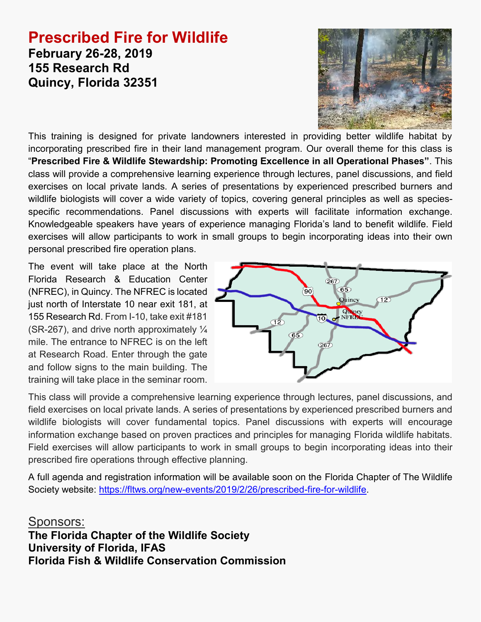# **Prescribed Fire for Wildlife February 26-28, 2019 155 Research Rd Quincy, Florida 32351**



This training is designed for private landowners interested in providing better wildlife habitat by incorporating prescribed fire in their land management program. Our overall theme for this class is "**Prescribed Fire & Wildlife Stewardship: Promoting Excellence in all Operational Phases"**. This class will provide a comprehensive learning experience through lectures, panel discussions, and field exercises on local private lands. A series of presentations by experienced prescribed burners and wildlife biologists will cover a wide variety of topics, covering general principles as well as speciesspecific recommendations. Panel discussions with experts will facilitate information exchange. Knowledgeable speakers have years of experience managing Florida's land to benefit wildlife. Field exercises will allow participants to work in small groups to begin incorporating ideas into their own personal prescribed fire operation plans.

The event will take place at the North Florida Research & Education Center (NFREC), in Quincy. The NFREC is located just north of Interstate 10 near exit 181, at 155 Research Rd. From I-10, take exit #181 (SR-267), and drive north approximately ¼ mile. The entrance to NFREC is on the left at Research Road. Enter through the gate and follow signs to the main building. The training will take place in the seminar room.



This class will provide a comprehensive learning experience through lectures, panel discussions, and field exercises on local private lands. A series of presentations by experienced prescribed burners and wildlife biologists will cover fundamental topics. Panel discussions with experts will encourage information exchange based on proven practices and principles for managing Florida wildlife habitats. Field exercises will allow participants to work in small groups to begin incorporating ideas into their prescribed fire operations through effective planning.

A full agenda and registration information will be available soon on the Florida Chapter of The Wildlife Society website: https://fltws.org/new-events/2019/2/26/prescribed-fire-for-wildlife.

Sponsors: **The Florida Chapter of the Wildlife Society University of Florida, IFAS Florida Fish & Wildlife Conservation Commission**